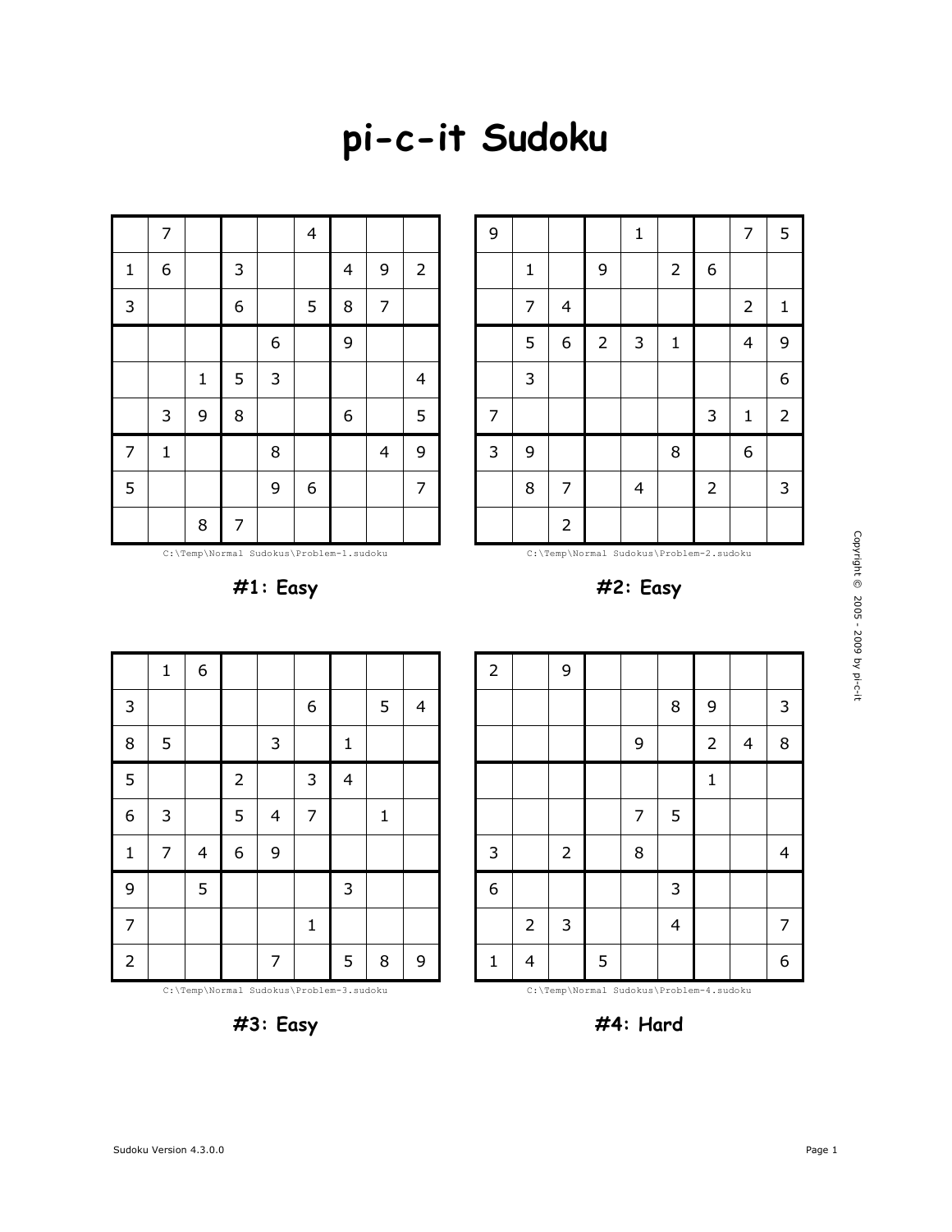## **pi-c-it Sudoku**

|                | 7            |              |                |             | $\overline{4}$ |   |                |                |
|----------------|--------------|--------------|----------------|-------------|----------------|---|----------------|----------------|
| $\mathbf{1}$   | 6            |              | 3              |             |                | 4 | 9              | $\overline{2}$ |
| 3              |              |              | 6              |             | 5              | 8 | $\overline{7}$ |                |
|                |              |              |                | 6           |                | 9 |                |                |
|                |              | $\mathbf{1}$ | 5              | $\mathsf 3$ |                |   |                | $\overline{4}$ |
|                | 3            | 9            | 8              |             |                | 6 |                | 5              |
| $\overline{7}$ | $\mathbf{1}$ |              |                | $\, 8$      |                |   | 4              | 9              |
| 5              |              |              |                | 9           | 6              |   |                | $\overline{7}$ |
|                |              | 8            | $\overline{7}$ |             |                |   |                |                |

C:\Temp\Normal Sudokus\Problem-1.sudoku

**#1: Easy**

C:\Temp\Normal Sudokus\Problem-2.sudoku

9 | | | | 1 | | | | | 7 | 5

4 2 1

6 2 3 1 4 9

3 | | | | | | | | 6

8 | 7 | | 4 | | 2 | | 3

7 | | | | | | | 3 | 1 | 2

3 | 9 | | | | | | | 8 | | | | 6

 $2 \mid$  9

9 2 6

**#2: Easy**

9 3

| 6<br>$\mathbf 1$<br>3<br>6<br>5<br>$\overline{4}$<br>8<br>5<br>3<br>$\mathbf 1$<br>5<br>3<br>$\overline{\mathbf{4}}$<br>$\overline{c}$<br>6<br>$\overline{7}$<br>5<br>3<br>$\mathbf{1}$<br>$\overline{\mathcal{L}}$<br>$\mathbf{1}$<br>6<br>9<br>7<br>$\overline{\mathbf{4}}$<br>9<br>5<br>3<br>$\overline{7}$<br>$\mathbf{1}$<br>$\overline{c}$<br>7<br>5<br>8<br>9 |  |  |  |  |  |
|----------------------------------------------------------------------------------------------------------------------------------------------------------------------------------------------------------------------------------------------------------------------------------------------------------------------------------------------------------------------|--|--|--|--|--|
|                                                                                                                                                                                                                                                                                                                                                                      |  |  |  |  |  |
|                                                                                                                                                                                                                                                                                                                                                                      |  |  |  |  |  |
|                                                                                                                                                                                                                                                                                                                                                                      |  |  |  |  |  |
|                                                                                                                                                                                                                                                                                                                                                                      |  |  |  |  |  |
|                                                                                                                                                                                                                                                                                                                                                                      |  |  |  |  |  |
|                                                                                                                                                                                                                                                                                                                                                                      |  |  |  |  |  |
|                                                                                                                                                                                                                                                                                                                                                                      |  |  |  |  |  |
|                                                                                                                                                                                                                                                                                                                                                                      |  |  |  |  |  |
|                                                                                                                                                                                                                                                                                                                                                                      |  |  |  |  |  |

|                |                |              |   | 9 |   | $\overline{2}$ | 4 | 8 |
|----------------|----------------|--------------|---|---|---|----------------|---|---|
|                |                |              |   |   |   | $\mathbf{1}$   |   |   |
|                |                |              |   | 7 | 5 |                |   |   |
| 3              |                | $\mathbf{2}$ |   | 8 |   |                |   | 4 |
| $\overline{6}$ |                |              |   |   | 3 |                |   |   |
|                | $\overline{2}$ | 3            |   |   | 4 |                |   | 7 |
| 1              | 4              |              | 5 |   |   |                |   | 6 |

C:\Temp\Normal Sudokus\Problem-3.sudoku



C:\Temp\Normal Sudokus\Problem-4.sudoku

**#4: Hard**